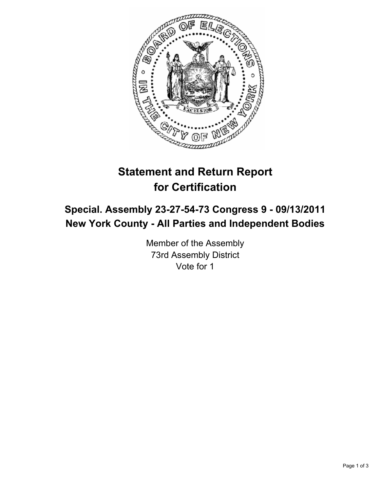

# **Statement and Return Report for Certification**

## **Special. Assembly 23-27-54-73 Congress 9 - 09/13/2011 New York County - All Parties and Independent Bodies**

Member of the Assembly 73rd Assembly District Vote for 1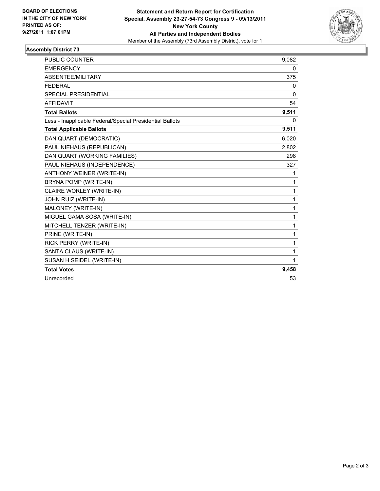

## **Assembly District 73**

| <b>PUBLIC COUNTER</b>                                    | 9,082 |
|----------------------------------------------------------|-------|
| <b>EMERGENCY</b>                                         | 0     |
| ABSENTEE/MILITARY                                        | 375   |
| <b>FEDERAL</b>                                           | 0     |
| <b>SPECIAL PRESIDENTIAL</b>                              | 0     |
| <b>AFFIDAVIT</b>                                         | 54    |
| <b>Total Ballots</b>                                     | 9,511 |
| Less - Inapplicable Federal/Special Presidential Ballots | 0     |
| <b>Total Applicable Ballots</b>                          | 9,511 |
| DAN QUART (DEMOCRATIC)                                   | 6,020 |
| PAUL NIEHAUS (REPUBLICAN)                                | 2,802 |
| DAN QUART (WORKING FAMILIES)                             | 298   |
| PAUL NIEHAUS (INDEPENDENCE)                              | 327   |
| <b>ANTHONY WEINER (WRITE-IN)</b>                         | 1     |
| BRYNA POMP (WRITE-IN)                                    | 1     |
| CLAIRE WORLEY (WRITE-IN)                                 | 1     |
| JOHN RUIZ (WRITE-IN)                                     | 1     |
| MALONEY (WRITE-IN)                                       | 1     |
| MIGUEL GAMA SOSA (WRITE-IN)                              | 1     |
| MITCHELL TENZER (WRITE-IN)                               | 1     |
| PRINE (WRITE-IN)                                         | 1     |
| RICK PERRY (WRITE-IN)                                    | 1     |
| SANTA CLAUS (WRITE-IN)                                   | 1     |
| SUSAN H SEIDEL (WRITE-IN)                                | 1     |
| <b>Total Votes</b>                                       | 9,458 |
| Unrecorded                                               | 53    |